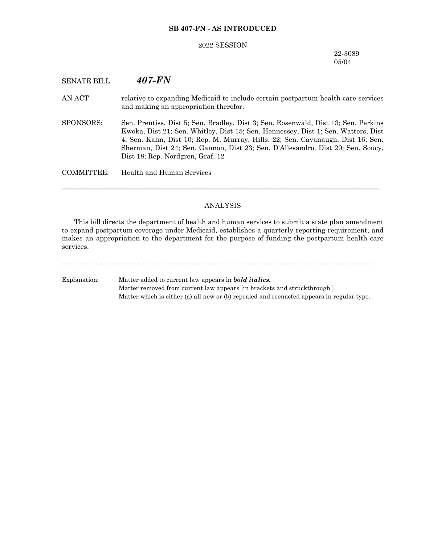## **SB 407-FN - AS INTRODUCED**

#### 2022 SESSION

# 22-3089 05/04

# SENATE BILL *407-FN*

- AN ACT relative to expanding Medicaid to include certain postpartum health care services and making an appropriation therefor.
- SPONSORS: Sen. Prentiss, Dist 5; Sen. Bradley, Dist 3; Sen. Rosenwald, Dist 13; Sen. Perkins Kwoka, Dist 21; Sen. Whitley, Dist 15; Sen. Hennessey, Dist 1; Sen. Watters, Dist 4; Sen. Kahn, Dist 10; Rep. M. Murray, Hills. 22; Sen. Cavanaugh, Dist 16; Sen. Sherman, Dist 24; Sen. Gannon, Dist 23; Sen. D'Allesandro, Dist 20; Sen. Soucy, Dist 18; Rep. Nordgren, Graf. 12

COMMITTEE: Health and Human Services

## ANALYSIS

─────────────────────────────────────────────────────────────────

This bill directs the department of health and human services to submit a state plan amendment to expand postpartum coverage under Medicaid, establishes a quarterly reporting requirement, and makes an appropriation to the department for the purpose of funding the postpartum health care services.

# - - - - - - - - - - - - - - - - - - - - - - - - - - - - - - - - - - - - - - - - - - - - - - - - - - - - - - - - - - - - - - - - - - - - - - - - - - - Explanation: Matter added to current law appears in *bold italics.* Matter removed from current law appears [in brackets and struckthrough.] Matter which is either (a) all new or (b) repealed and reenacted appears in regular type.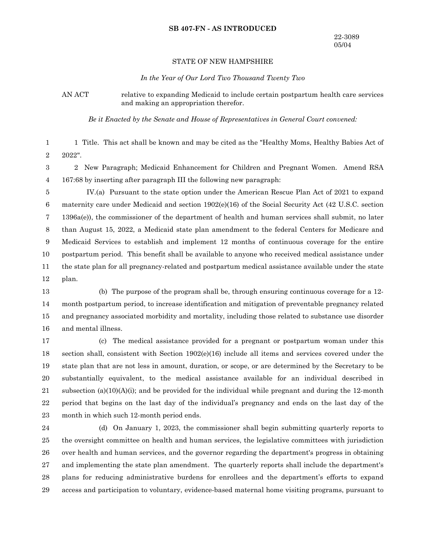### **SB 407-FN - AS INTRODUCED**

#### STATE OF NEW HAMPSHIRE

#### *In the Year of Our Lord Two Thousand Twenty Two*

AN ACT relative to expanding Medicaid to include certain postpartum health care services and making an appropriation therefor.

*Be it Enacted by the Senate and House of Representatives in General Court convened:*

1 Title. This act shall be known and may be cited as the "Healthy Moms, Healthy Babies Act of 2022". 1 2

2 New Paragraph; Medicaid Enhancement for Children and Pregnant Women. Amend RSA 167:68 by inserting after paragraph III the following new paragraph: 3 4

IV.(a) Pursuant to the state option under the American Rescue Plan Act of 2021 to expand maternity care under Medicaid and section  $1902(e)(16)$  of the Social Security Act (42 U.S.C. section 1396a(e)), the commissioner of the department of health and human services shall submit, no later than August 15, 2022, a Medicaid state plan amendment to the federal Centers for Medicare and Medicaid Services to establish and implement 12 months of continuous coverage for the entire postpartum period. This benefit shall be available to anyone who received medical assistance under the state plan for all pregnancy-related and postpartum medical assistance available under the state plan. 5 6 7 8 9 10 11 12

(b) The purpose of the program shall be, through ensuring continuous coverage for a 12 month postpartum period, to increase identification and mitigation of preventable pregnancy related and pregnancy associated morbidity and mortality, including those related to substance use disorder and mental illness. 13 14 15 16

(c) The medical assistance provided for a pregnant or postpartum woman under this section shall, consistent with Section  $1902(e)(16)$  include all items and services covered under the state plan that are not less in amount, duration, or scope, or are determined by the Secretary to be substantially equivalent, to the medical assistance available for an individual described in subsection (a)(10)(A)(i); and be provided for the individual while pregnant and during the 12-month period that begins on the last day of the individual's pregnancy and ends on the last day of the month in which such 12-month period ends. 17 18 19 20 21 22 23

(d) On January 1, 2023, the commissioner shall begin submitting quarterly reports to the oversight committee on health and human services, the legislative committees with jurisdiction over health and human services, and the governor regarding the department's progress in obtaining and implementing the state plan amendment. The quarterly reports shall include the department's plans for reducing administrative burdens for enrollees and the department's efforts to expand access and participation to voluntary, evidence-based maternal home visiting programs, pursuant to 24 25 26 27 28 29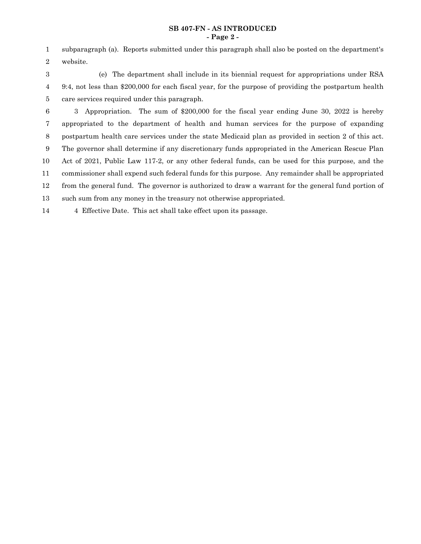## **SB 407-FN - AS INTRODUCED - Page 2 -**

subparagraph (a). Reports submitted under this paragraph shall also be posted on the department's website. 1 2

(e) The department shall include in its biennial request for appropriations under RSA 9:4, not less than \$200,000 for each fiscal year, for the purpose of providing the postpartum health care services required under this paragraph. 3 4 5

3 Appropriation. The sum of \$200,000 for the fiscal year ending June 30, 2022 is hereby appropriated to the department of health and human services for the purpose of expanding postpartum health care services under the state Medicaid plan as provided in section 2 of this act. The governor shall determine if any discretionary funds appropriated in the American Rescue Plan Act of 2021, Public Law 117-2, or any other federal funds, can be used for this purpose, and the commissioner shall expend such federal funds for this purpose. Any remainder shall be appropriated from the general fund. The governor is authorized to draw a warrant for the general fund portion of such sum from any money in the treasury not otherwise appropriated. 4 Effective Date. This act shall take effect upon its passage. 6 7 8 9 10 11 12 13 14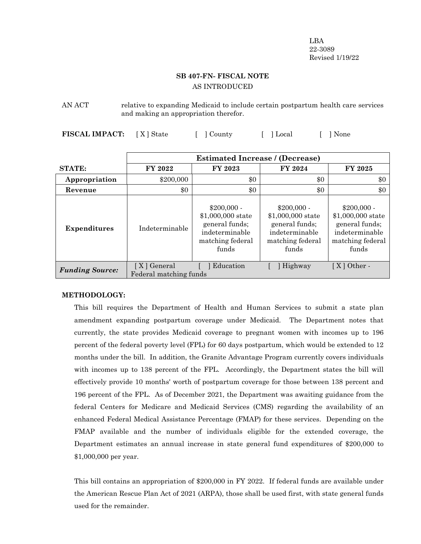LBA 22-3089 Revised 1/19/22

# **SB 407-FN- FISCAL NOTE** AS INTRODUCED

AN ACT relative to expanding Medicaid to include certain postpartum health care services and making an appropriation therefor.

**FISCAL IMPACT:** [X] State [ ] County [ ] Local [ ] None

|                        | <b>Estimated Increase / (Decrease)</b> |                                                                                                    |                                                                                                    |                                                                                                    |
|------------------------|----------------------------------------|----------------------------------------------------------------------------------------------------|----------------------------------------------------------------------------------------------------|----------------------------------------------------------------------------------------------------|
| <b>STATE:</b>          | <b>FY 2022</b>                         | FY 2023                                                                                            | FY 2024                                                                                            | FY 2025                                                                                            |
| Appropriation          | \$200,000                              | \$0                                                                                                | \$0                                                                                                | \$0                                                                                                |
| Revenue                | \$0                                    | \$0                                                                                                | \$0                                                                                                | \$0                                                                                                |
| <b>Expenditures</b>    | Indeterminable                         | $$200,000$ -<br>\$1,000,000 state<br>general funds;<br>indeterminable<br>matching federal<br>funds | $$200,000$ .<br>\$1,000,000 state<br>general funds;<br>indeterminable<br>matching federal<br>funds | $$200,000$ -<br>\$1,000,000 state<br>general funds;<br>indeterminable<br>matching federal<br>funds |
| <b>Funding Source:</b> | [X] General<br>Federal matching funds  | Education                                                                                          | Highway                                                                                            | $[X]$ Other -                                                                                      |

# **METHODOLOGY:**

This bill requires the Department of Health and Human Services to submit a state plan amendment expanding postpartum coverage under Medicaid. The Department notes that currently, the state provides Medicaid coverage to pregnant women with incomes up to 196 percent of the federal poverty level (FPL) for 60 days postpartum, which would be extended to 12 months under the bill. In addition, the Granite Advantage Program currently covers individuals with incomes up to 138 percent of the FPL. Accordingly, the Department states the bill will effectively provide 10 months' worth of postpartum coverage for those between 138 percent and 196 percent of the FPL. As of December 2021, the Department was awaiting guidance from the federal Centers for Medicare and Medicaid Services (CMS) regarding the availability of an enhanced Federal Medical Assistance Percentage (FMAP) for these services. Depending on the FMAP available and the number of individuals eligible for the extended coverage, the Department estimates an annual increase in state general fund expenditures of \$200,000 to \$1,000,000 per year.

This bill contains an appropriation of \$200,000 in FY 2022. If federal funds are available under the American Rescue Plan Act of 2021 (ARPA), those shall be used first, with state general funds used for the remainder.